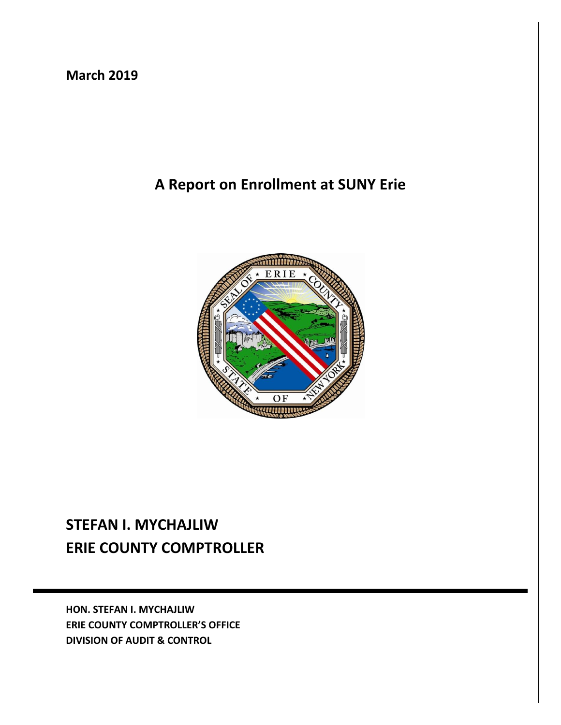## **March 2019**

## **A Report on Enrollment at SUNY Erie**



# **STEFAN I. MYCHAJLIW ERIE COUNTY COMPTROLLER**

**HON. STEFAN I. MYCHAJLIW ERIE COUNTY COMPTROLLER'S OFFICE DIVISION OF AUDIT & CONTROL**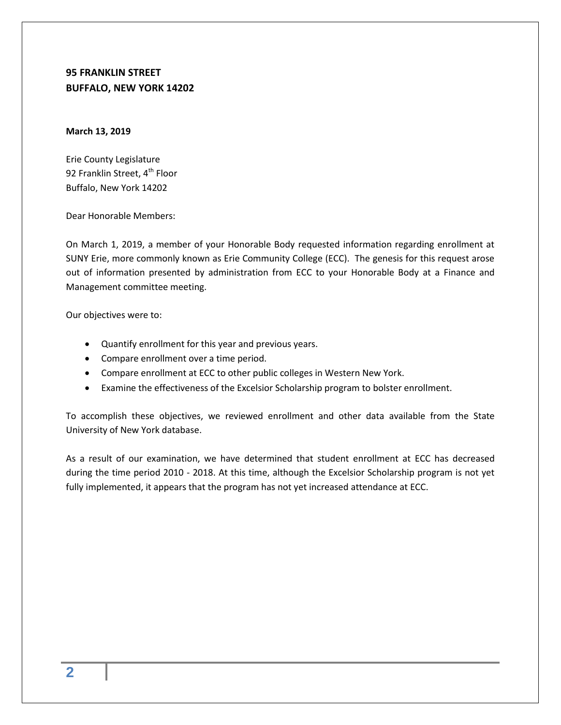### **95 FRANKLIN STREET BUFFALO, NEW YORK 14202**

#### **March 13, 2019**

Erie County Legislature 92 Franklin Street, 4<sup>th</sup> Floor Buffalo, New York 14202

Dear Honorable Members:

On March 1, 2019, a member of your Honorable Body requested information regarding enrollment at SUNY Erie, more commonly known as Erie Community College (ECC). The genesis for this request arose out of information presented by administration from ECC to your Honorable Body at a Finance and Management committee meeting.

Our objectives were to:

- Quantify enrollment for this year and previous years.
- Compare enrollment over a time period.
- Compare enrollment at ECC to other public colleges in Western New York.
- Examine the effectiveness of the Excelsior Scholarship program to bolster enrollment.

To accomplish these objectives, we reviewed enrollment and other data available from the State University of New York database.

As a result of our examination, we have determined that student enrollment at ECC has decreased during the time period 2010 - 2018. At this time, although the Excelsior Scholarship program is not yet fully implemented, it appears that the program has not yet increased attendance at ECC.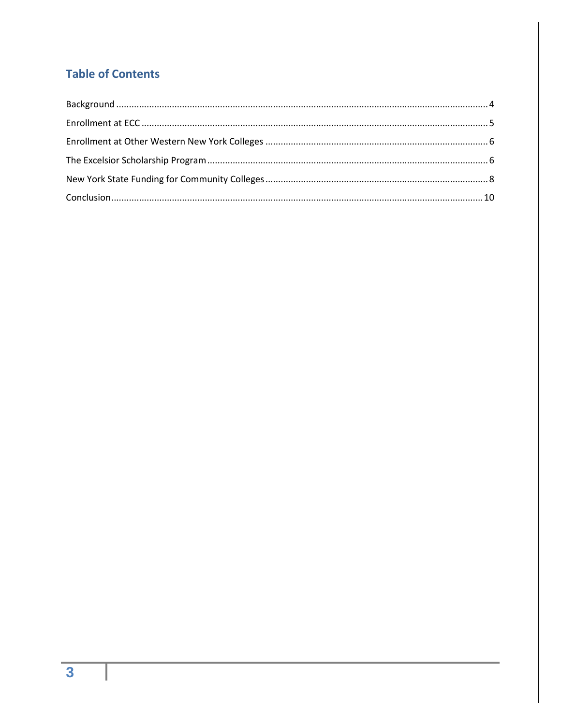## **Table of Contents**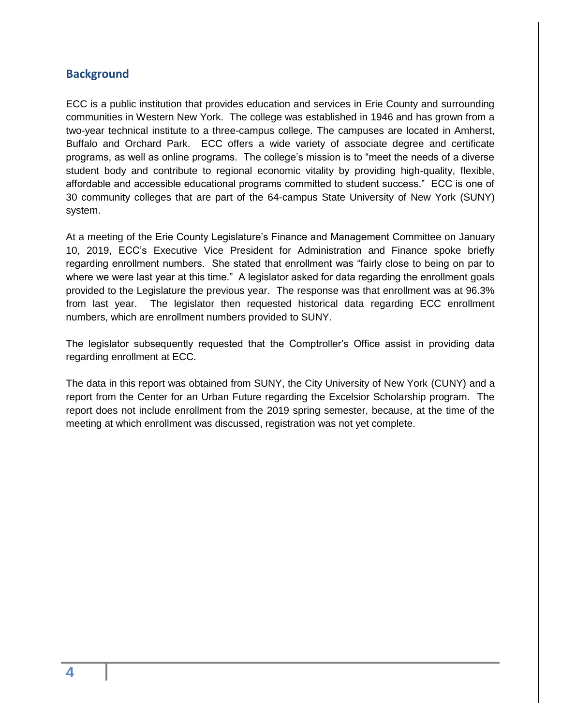#### <span id="page-3-0"></span>**Background**

ECC is a public institution that provides education and services in Erie County and surrounding communities in Western New York. The college was established in 1946 and has grown from a two-year technical institute to a three-campus college. The campuses are located in Amherst, Buffalo and Orchard Park. ECC offers a wide variety of associate degree and certificate programs, as well as online programs. The college's mission is to "meet the needs of a diverse student body and contribute to regional economic vitality by providing high-quality, flexible, affordable and accessible educational programs committed to student success." ECC is one of 30 community colleges that are part of the 64-campus State University of New York (SUNY) system.

At a meeting of the Erie County Legislature's Finance and Management Committee on January 10, 2019, ECC's Executive Vice President for Administration and Finance spoke briefly regarding enrollment numbers. She stated that enrollment was "fairly close to being on par to where we were last year at this time." A legislator asked for data regarding the enrollment goals provided to the Legislature the previous year. The response was that enrollment was at 96.3% from last year. The legislator then requested historical data regarding ECC enrollment numbers, which are enrollment numbers provided to SUNY.

The legislator subsequently requested that the Comptroller's Office assist in providing data regarding enrollment at ECC.

The data in this report was obtained from SUNY, the City University of New York (CUNY) and a report from the Center for an Urban Future regarding the Excelsior Scholarship program. The report does not include enrollment from the 2019 spring semester, because, at the time of the meeting at which enrollment was discussed, registration was not yet complete.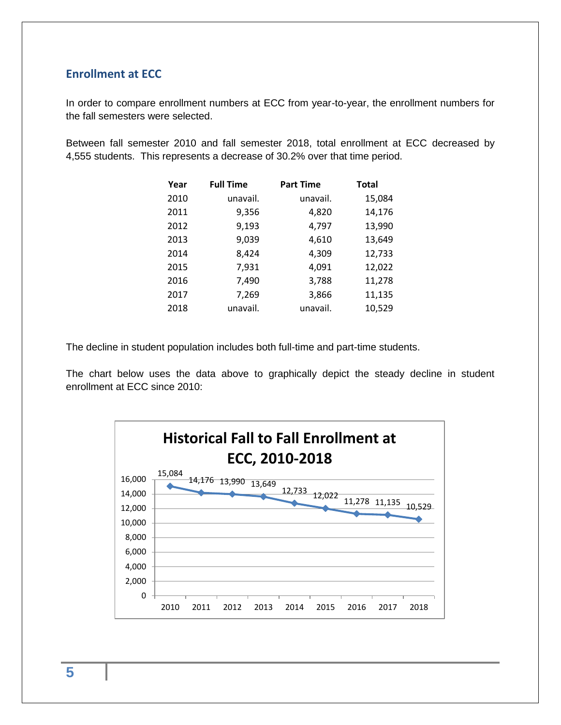#### <span id="page-4-0"></span>**Enrollment at ECC**

In order to compare enrollment numbers at ECC from year-to-year, the enrollment numbers for the fall semesters were selected.

Between fall semester 2010 and fall semester 2018, total enrollment at ECC decreased by 4,555 students. This represents a decrease of 30.2% over that time period.

| Year | <b>Full Time</b> | <b>Part Time</b> | <b>Total</b> |
|------|------------------|------------------|--------------|
| 2010 | unavail.         | unavail.         | 15,084       |
| 2011 | 9,356            | 4,820            | 14,176       |
| 2012 | 9,193            | 4,797            | 13,990       |
| 2013 | 9,039            | 4,610            | 13,649       |
| 2014 | 8,424            | 4,309            | 12,733       |
| 2015 | 7,931            | 4,091            | 12,022       |
| 2016 | 7,490            | 3,788            | 11,278       |
| 2017 | 7,269            | 3,866            | 11,135       |
| 2018 | unavail.         | unavail.         | 10,529       |

The decline in student population includes both full-time and part-time students.

The chart below uses the data above to graphically depict the steady decline in student enrollment at ECC since 2010:



**5**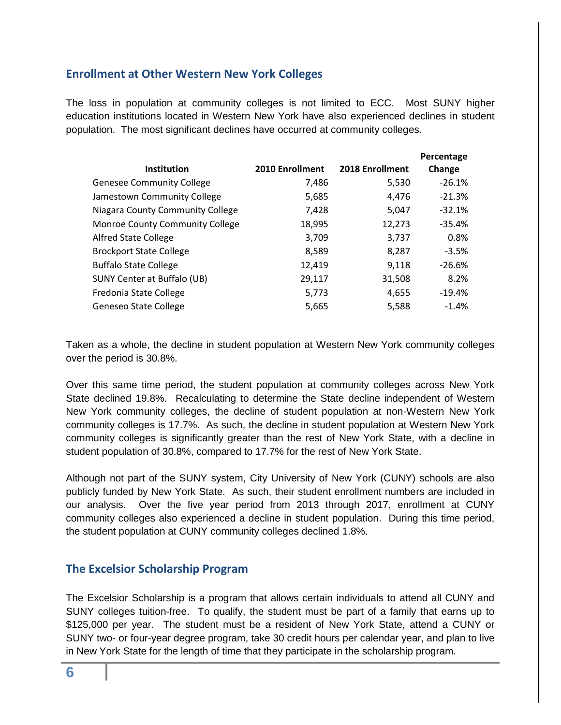#### <span id="page-5-0"></span>**Enrollment at Other Western New York Colleges**

The loss in population at community colleges is not limited to ECC. Most SUNY higher education institutions located in Western New York have also experienced declines in student population. The most significant declines have occurred at community colleges.

| <b>Institution</b>                 | 2010 Enrollment | 2018 Enrollment | Percentage<br>Change |
|------------------------------------|-----------------|-----------------|----------------------|
| <b>Genesee Community College</b>   | 7,486           | 5,530           | $-26.1%$             |
| Jamestown Community College        | 5,685           | 4,476           | $-21.3%$             |
| Niagara County Community College   | 7,428           | 5,047           | $-32.1%$             |
| Monroe County Community College    | 18,995          | 12,273          | $-35.4%$             |
| <b>Alfred State College</b>        | 3,709           | 3,737           | 0.8%                 |
| <b>Brockport State College</b>     | 8,589           | 8,287           | $-3.5%$              |
| <b>Buffalo State College</b>       | 12,419          | 9,118           | $-26.6%$             |
| <b>SUNY Center at Buffalo (UB)</b> | 29,117          | 31,508          | 8.2%                 |
| Fredonia State College             | 5,773           | 4,655           | $-19.4%$             |
| Geneseo State College              | 5,665           | 5,588           | $-1.4%$              |

Taken as a whole, the decline in student population at Western New York community colleges over the period is 30.8%.

Over this same time period, the student population at community colleges across New York State declined 19.8%. Recalculating to determine the State decline independent of Western New York community colleges, the decline of student population at non-Western New York community colleges is 17.7%. As such, the decline in student population at Western New York community colleges is significantly greater than the rest of New York State, with a decline in student population of 30.8%, compared to 17.7% for the rest of New York State.

Although not part of the SUNY system, City University of New York (CUNY) schools are also publicly funded by New York State. As such, their student enrollment numbers are included in our analysis. Over the five year period from 2013 through 2017, enrollment at CUNY community colleges also experienced a decline in student population. During this time period, the student population at CUNY community colleges declined 1.8%.

### <span id="page-5-1"></span>**The Excelsior Scholarship Program**

The Excelsior Scholarship is a program that allows certain individuals to attend all CUNY and SUNY colleges tuition-free. To qualify, the student must be part of a family that earns up to \$125,000 per year. The student must be a resident of New York State, attend a CUNY or SUNY two- or four-year degree program, take 30 credit hours per calendar year, and plan to live in New York State for the length of time that they participate in the scholarship program.

**6**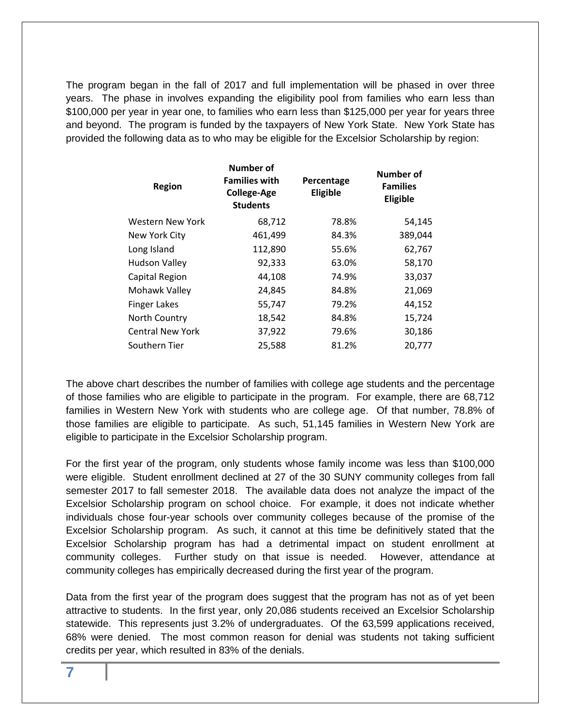The program began in the fall of 2017 and full implementation will be phased in over three years. The phase in involves expanding the eligibility pool from families who earn less than \$100,000 per year in year one, to families who earn less than \$125,000 per year for years three and beyond. The program is funded by the taxpayers of New York State. New York State has provided the following data as to who may be eligible for the Excelsior Scholarship by region:

| <b>Region</b>           | Number of<br><b>Families with</b><br><b>College-Age</b><br><b>Students</b> | Percentage<br>Eligible | Number of<br><b>Families</b><br>Eligible |
|-------------------------|----------------------------------------------------------------------------|------------------------|------------------------------------------|
| <b>Western New York</b> | 68,712                                                                     | 78.8%                  | 54,145                                   |
| New York City           | 461,499                                                                    | 84.3%                  | 389,044                                  |
| Long Island             | 112,890                                                                    | 55.6%                  | 62,767                                   |
| <b>Hudson Valley</b>    | 92,333                                                                     | 63.0%                  | 58,170                                   |
| Capital Region          | 44,108                                                                     | 74.9%                  | 33,037                                   |
| Mohawk Valley           | 24,845                                                                     | 84.8%                  | 21,069                                   |
| <b>Finger Lakes</b>     | 55,747                                                                     | 79.2%                  | 44,152                                   |
| North Country           | 18,542                                                                     | 84.8%                  | 15,724                                   |
| <b>Central New York</b> | 37,922                                                                     | 79.6%                  | 30,186                                   |
| Southern Tier           | 25,588                                                                     | 81.2%                  | 20,777                                   |
|                         |                                                                            |                        |                                          |

The above chart describes the number of families with college age students and the percentage of those families who are eligible to participate in the program. For example, there are 68,712 families in Western New York with students who are college age. Of that number, 78.8% of those families are eligible to participate. As such, 51,145 families in Western New York are eligible to participate in the Excelsior Scholarship program.

For the first year of the program, only students whose family income was less than \$100,000 were eligible. Student enrollment declined at 27 of the 30 SUNY community colleges from fall semester 2017 to fall semester 2018. The available data does not analyze the impact of the Excelsior Scholarship program on school choice. For example, it does not indicate whether individuals chose four-year schools over community colleges because of the promise of the Excelsior Scholarship program. As such, it cannot at this time be definitively stated that the Excelsior Scholarship program has had a detrimental impact on student enrollment at community colleges. Further study on that issue is needed. However, attendance at community colleges has empirically decreased during the first year of the program.

Data from the first year of the program does suggest that the program has not as of yet been attractive to students. In the first year, only 20,086 students received an Excelsior Scholarship statewide. This represents just 3.2% of undergraduates. Of the 63,599 applications received, 68% were denied. The most common reason for denial was students not taking sufficient credits per year, which resulted in 83% of the denials.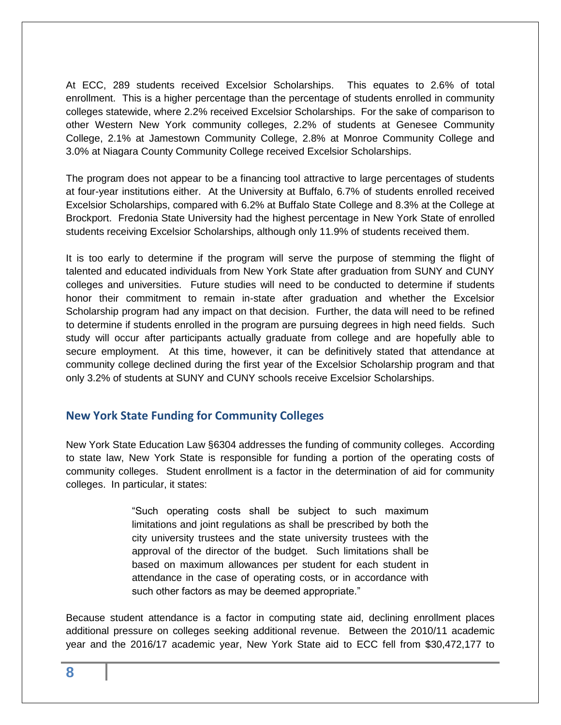At ECC, 289 students received Excelsior Scholarships. This equates to 2.6% of total enrollment. This is a higher percentage than the percentage of students enrolled in community colleges statewide, where 2.2% received Excelsior Scholarships. For the sake of comparison to other Western New York community colleges, 2.2% of students at Genesee Community College, 2.1% at Jamestown Community College, 2.8% at Monroe Community College and 3.0% at Niagara County Community College received Excelsior Scholarships.

The program does not appear to be a financing tool attractive to large percentages of students at four-year institutions either. At the University at Buffalo, 6.7% of students enrolled received Excelsior Scholarships, compared with 6.2% at Buffalo State College and 8.3% at the College at Brockport. Fredonia State University had the highest percentage in New York State of enrolled students receiving Excelsior Scholarships, although only 11.9% of students received them.

It is too early to determine if the program will serve the purpose of stemming the flight of talented and educated individuals from New York State after graduation from SUNY and CUNY colleges and universities. Future studies will need to be conducted to determine if students honor their commitment to remain in-state after graduation and whether the Excelsior Scholarship program had any impact on that decision. Further, the data will need to be refined to determine if students enrolled in the program are pursuing degrees in high need fields. Such study will occur after participants actually graduate from college and are hopefully able to secure employment. At this time, however, it can be definitively stated that attendance at community college declined during the first year of the Excelsior Scholarship program and that only 3.2% of students at SUNY and CUNY schools receive Excelsior Scholarships.

#### <span id="page-7-0"></span>**New York State Funding for Community Colleges**

New York State Education Law §6304 addresses the funding of community colleges. According to state law, New York State is responsible for funding a portion of the operating costs of community colleges. Student enrollment is a factor in the determination of aid for community colleges. In particular, it states:

> "Such operating costs shall be subject to such maximum limitations and joint regulations as shall be prescribed by both the city university trustees and the state university trustees with the approval of the director of the budget. Such limitations shall be based on maximum allowances per student for each student in attendance in the case of operating costs, or in accordance with such other factors as may be deemed appropriate."

Because student attendance is a factor in computing state aid, declining enrollment places additional pressure on colleges seeking additional revenue. Between the 2010/11 academic year and the 2016/17 academic year, New York State aid to ECC fell from \$30,472,177 to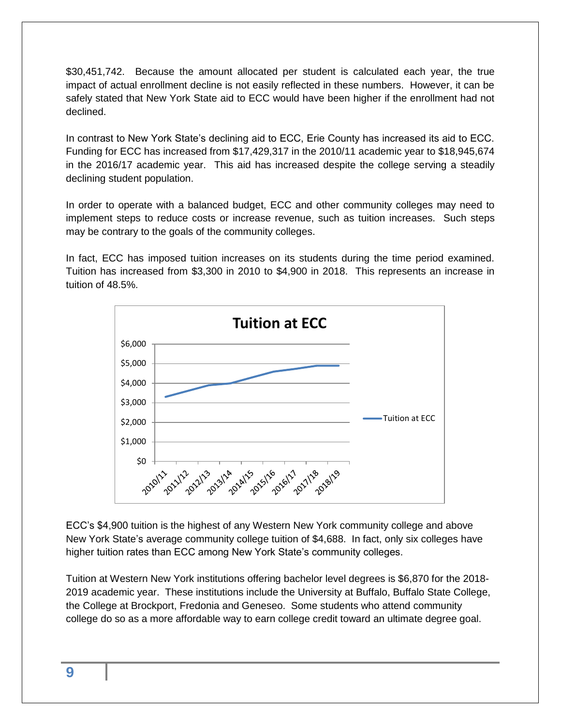\$30,451,742. Because the amount allocated per student is calculated each year, the true impact of actual enrollment decline is not easily reflected in these numbers. However, it can be safely stated that New York State aid to ECC would have been higher if the enrollment had not declined.

In contrast to New York State's declining aid to ECC, Erie County has increased its aid to ECC. Funding for ECC has increased from \$17,429,317 in the 2010/11 academic year to \$18,945,674 in the 2016/17 academic year. This aid has increased despite the college serving a steadily declining student population.

In order to operate with a balanced budget, ECC and other community colleges may need to implement steps to reduce costs or increase revenue, such as tuition increases. Such steps may be contrary to the goals of the community colleges.

In fact, ECC has imposed tuition increases on its students during the time period examined. Tuition has increased from \$3,300 in 2010 to \$4,900 in 2018. This represents an increase in tuition of 48.5%.



ECC's \$4,900 tuition is the highest of any Western New York community college and above New York State's average community college tuition of \$4,688. In fact, only six colleges have higher tuition rates than ECC among New York State's community colleges.

Tuition at Western New York institutions offering bachelor level degrees is \$6,870 for the 2018- 2019 academic year. These institutions include the University at Buffalo, Buffalo State College, the College at Brockport, Fredonia and Geneseo. Some students who attend community college do so as a more affordable way to earn college credit toward an ultimate degree goal.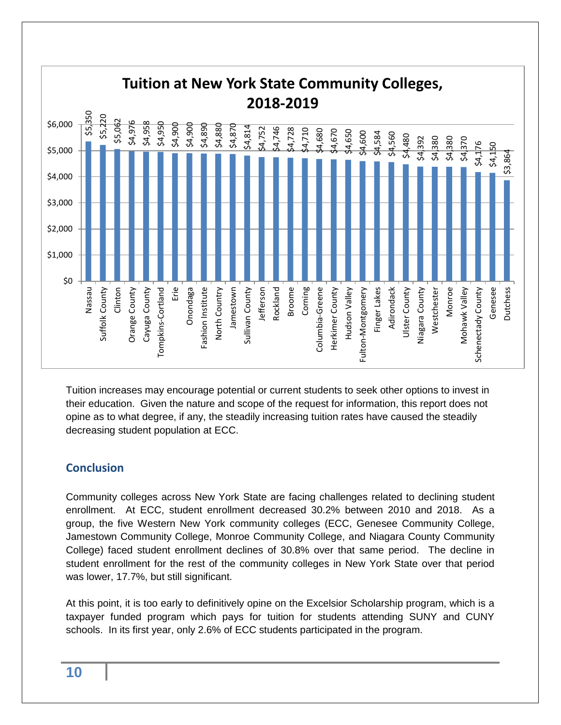

Tuition increases may encourage potential or current students to seek other options to invest in their education. Given the nature and scope of the request for information, this report does not opine as to what degree, if any, the steadily increasing tuition rates have caused the steadily decreasing student population at ECC.

### <span id="page-9-0"></span>**Conclusion**

Community colleges across New York State are facing challenges related to declining student enrollment. At ECC, student enrollment decreased 30.2% between 2010 and 2018. As a group, the five Western New York community colleges (ECC, Genesee Community College, Jamestown Community College, Monroe Community College, and Niagara County Community College) faced student enrollment declines of 30.8% over that same period. The decline in student enrollment for the rest of the community colleges in New York State over that period was lower, 17.7%, but still significant.

At this point, it is too early to definitively opine on the Excelsior Scholarship program, which is a taxpayer funded program which pays for tuition for students attending SUNY and CUNY